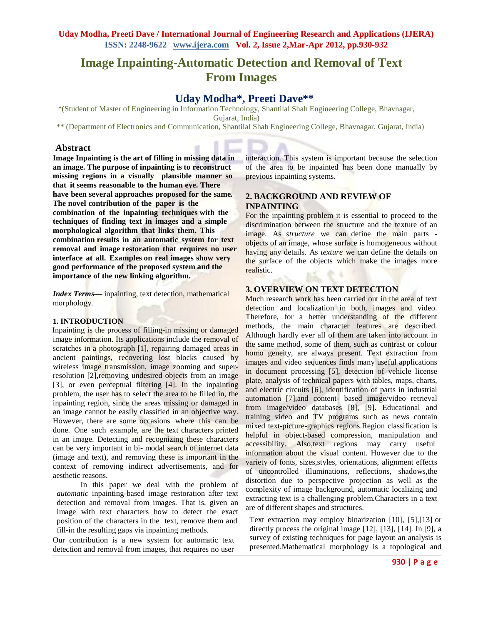# **Image Inpainting-Automatic Detection and Removal of Text From Images**

# **Uday Modha\*, Preeti Dave\*\***

\*(Student of Master of Engineering in Information Technology, Shantilal Shah Engineering College, Bhavnagar, Gujarat, India)

\*\* (Department of Electronics and Communication, Shantilal Shah Engineering College, Bhavnagar, Gujarat, India)

## **Abstract**

**Image Inpainting is the art of filling in missing data in an image. The purpose of inpainting is to reconstruct missing regions in a visually plausible manner so that it seems reasonable to the human eye. There have been several approaches proposed for the same. The novel contribution of the paper is the combination of the inpainting techniques with the techniques of finding text in images and a simple morphological algorithm that links them. This combination results in an automatic system for text removal and image restoration that requires no user interface at all. Examples on real images show very good performance of the proposed system and the importance of the new linking algorithm.**

*Index Terms***—** inpainting, text detection, mathematical morphology.

## **1. INTRODUCTION**

Inpainting is the process of filling-in missing or damaged image information. Its applications include the removal of scratches in a photograph [1], repairing damaged areas in ancient paintings, recovering lost blocks caused by wireless image transmission, image zooming and superresolution [2], removing undesired objects from an image [3], or even perceptual filtering [4]. In the inpainting problem, the user has to select the area to be filled in, the inpainting region, since the areas missing or damaged in an image cannot be easily classified in an objective way. However, there are some occasions where this can be done. One such example, are the text characters printed in an image. Detecting and recognizing these characters can be very important in bi- modal search of internet data (image and text), and removing these is important in the context of removing indirect advertisements, and for aesthetic reasons.

In this paper we deal with the problem of *automatic* inpainting-based image restoration after text detection and removal from images. That is, given an image with text characters how to detect the exact position of the characters in the text, remove them and fill-in the resulting gaps via inpainting methods.

Our contribution is a new system for automatic text detection and removal from images, that requires no user

interaction. This system is important because the selection of the area to be inpainted has been done manually by previous inpainting systems.

# **2. BACKGROUND AND REVIEW OF INPAINTING**

For the inpainting problem it is essential to proceed to the discrimination between the structure and the texture of an image. As *structure* we can define the main parts objects of an image, whose surface is homogeneous without having any details. As *texture* we can define the details on the surface of the objects which make the images more realistic.

#### **3. OVERVIEW ON TEXT DETECTION**

Much research work has been carried out in the area of text detection and localization in both, images and video. Therefore, for a better understanding of the different methods, the main character features are described. Although hardly ever all of them are taken into account in the same method, some of them, such as contrast or colour homo geneity, are always present. Text extraction from images and video sequences finds many useful applications in document processing [5], detection of vehicle license plate, analysis of technical papers with tables, maps, charts, and electric circuits [6], identification of parts in industrial automation [7],and content- based image/video retrieval from image/video databases [8], [9]. Educational and training video and TV programs such as news contain mixed text-picture-graphics regions.Region classification is helpful in object-based compression, manipulation and accessibility. Also,text regions may carry useful information about the visual content. However due to the variety of fonts, sizes,styles, orientations, alignment effects of uncontrolled illuminations, reflections, shadows,the distortion due to perspective projection as well as the complexity of image background, automatic localizing and extracting text is a challenging problem.Characters in a text are of different shapes and structures.

Text extraction may employ binarization [10], [5],[13] or directly process the original image [12], [13], [14]. In [9], a survey of existing techniques for page layout an analysis is presented.Mathematical morphology is a topological and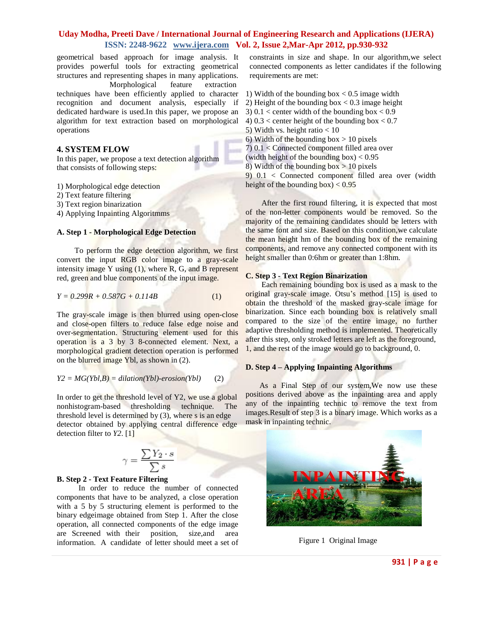## **Uday Modha, Preeti Dave / International Journal of Engineering Research and Applications (IJERA) ISSN: 2248-9622 www.ijera.com Vol. 2, Issue 2,Mar-Apr 2012, pp.930-932**

geometrical based approach for image analysis. It provides powerful tools for extracting geometrical structures and representing shapes in many applications. Morphological feature extraction techniques have been efficiently applied to character recognition and document analysis, especially if dedicated hardware is used.In this paper, we propose an algorithm for text extraction based on morphological operations

#### **4. SYSTEM FLOW**

In this paper, we propose a text detection algorithm that consists of following steps:

1) Morphological edge detection

- 2) Text feature filtering
- 3) Text region binarization

4) Applying Inpainting Algoritmms

#### **A. Step 1 - Morphological Edge Detection**

To perform the edge detection algorithm, we first convert the input RGB color image to a gray-scale intensity image Y using  $(1)$ , where R, G, and B represent red, green and blue components of the input image.

$$
Y = 0.299R + 0.587G + 0.114B \tag{1}
$$

The gray-scale image is then blurred using open-close and close-open filters to reduce false edge noise and over-segmentation. Structuring element used for this operation is a 3 by 3 8-connected element. Next, a morphological gradient detection operation is performed on the blurred image Ybl, as shown in (2).

$$
Y2 = MG(Ybl, B) = dilation(Ybl) - erosion(Ybl)
$$
 (2)

In order to get the threshold level of Y2, we use a global nonhistogram-based thresholding technique. The threshold level is determined by (3), where s is an edge detector obtained by applying central difference edge detection filter to *Y2*. [1]

$$
\gamma = \frac{\sum Y_2 \cdot s}{\sum s}
$$

#### **B. Step 2 - Text Feature Filtering**

In order to reduce the number of connected components that have to be analyzed, a close operation with a 5 by 5 structuring element is performed to the binary edgeimage obtained from Step 1. After the close operation, all connected components of the edge image are Screened with their position, size,and area information. A candidate of letter should meet a set of

constraints in size and shape. In our algorithm,we select connected components as letter candidates if the following requirements are met:

- 1) Width of the bounding box  $< 0.5$  image width
- 2) Height of the bounding box  $< 0.3$  image height
- 3)  $0.1 <$  center width of the bounding box  $< 0.9$
- 4)  $0.3 <$  center height of the bounding box  $< 0.7$
- 5) Width vs. height ratio < 10
- 6) Width of the bounding box  $> 10$  pixels
- 7) 0.1 < Connected component filled area over
- (width height of the bounding box)  $< 0.95$
- 8) Width of the bounding  $box > 10$  pixels

9) 0.1 < Connected component filled area over (width height of the bounding box)  $< 0.95$ 

After the first round filtering, it is expected that most of the non-letter components would be removed. So the majority of the remaining candidates should be letters with the same font and size. Based on this condition, we calculate the mean height hm of the bounding box of the remaining components, and remove any connected component with its height smaller than 0:6hm or greater than 1:8hm.

#### **C. Step 3 - Text Region Binarization**

Each remaining bounding box is used as a mask to the original gray-scale image. Otsu's method [15] is used to obtain the threshold of the masked gray-scale image for binarization. Since each bounding box is relatively small compared to the size of the entire image, no further adaptive thresholding method is implemented. Theoretically after this step, only stroked letters are left as the foreground, 1, and the rest of the image would go to background, 0.

## **D. Step 4 – Applying Inpainting Algorithms**

As a Final Step of our system,We now use these positions derived above as the inpainting area and apply any of the inpainting technic to remove the text from images.Result of step 3 is a binary image. Which works as a mask in inpainting technic.



Figure 1 Original Image